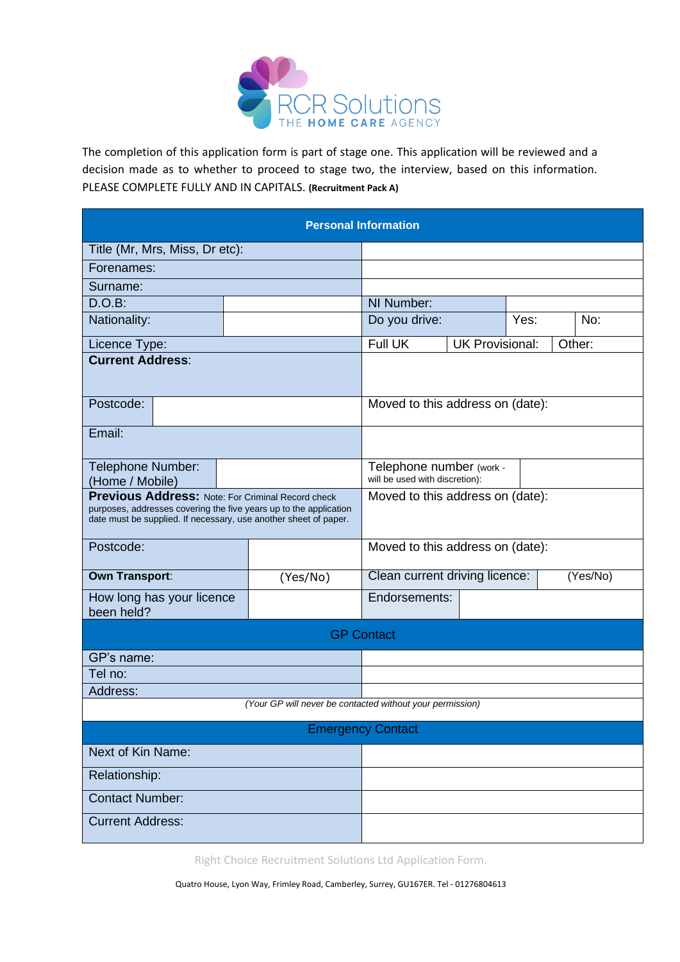

The completion of this application form is part of stage one. This application will be reviewed and a decision made as to whether to proceed to stage two, the interview, based on this information. PLEASE COMPLETE FULLY AND IN CAPITALS. **(Recruitment Pack A)**

| <b>Personal Information</b>                                                                                                                                                                |                                                           |                                                            |                        |      |  |        |
|--------------------------------------------------------------------------------------------------------------------------------------------------------------------------------------------|-----------------------------------------------------------|------------------------------------------------------------|------------------------|------|--|--------|
| Title (Mr, Mrs, Miss, Dr etc):                                                                                                                                                             |                                                           |                                                            |                        |      |  |        |
| Forenames:                                                                                                                                                                                 |                                                           |                                                            |                        |      |  |        |
| Surname:                                                                                                                                                                                   |                                                           |                                                            |                        |      |  |        |
| $D.O.B$ :                                                                                                                                                                                  |                                                           | NI Number:                                                 |                        |      |  |        |
| Nationality:                                                                                                                                                                               |                                                           | Do you drive:                                              |                        | Yes: |  | No:    |
| Licence Type:                                                                                                                                                                              |                                                           | Full UK                                                    | <b>UK Provisional:</b> |      |  | Other: |
| <b>Current Address:</b>                                                                                                                                                                    |                                                           |                                                            |                        |      |  |        |
| Postcode:                                                                                                                                                                                  |                                                           | Moved to this address on (date):                           |                        |      |  |        |
| Email:                                                                                                                                                                                     |                                                           |                                                            |                        |      |  |        |
| Telephone Number:<br>(Home / Mobile)                                                                                                                                                       |                                                           | Telephone number (work -<br>will be used with discretion): |                        |      |  |        |
| Previous Address: Note: For Criminal Record check<br>purposes, addresses covering the five years up to the application<br>date must be supplied. If necessary, use another sheet of paper. |                                                           | Moved to this address on (date):                           |                        |      |  |        |
| Postcode:                                                                                                                                                                                  |                                                           | Moved to this address on (date):                           |                        |      |  |        |
| <b>Own Transport:</b>                                                                                                                                                                      | (Yes/No)                                                  | Clean current driving licence:<br>(Yes/No)                 |                        |      |  |        |
| How long has your licence<br>been held?                                                                                                                                                    |                                                           | Endorsements:                                              |                        |      |  |        |
|                                                                                                                                                                                            |                                                           | <b>GP Contact</b>                                          |                        |      |  |        |
| GP's name:                                                                                                                                                                                 |                                                           |                                                            |                        |      |  |        |
| Tel no:                                                                                                                                                                                    |                                                           |                                                            |                        |      |  |        |
| Address:                                                                                                                                                                                   |                                                           |                                                            |                        |      |  |        |
|                                                                                                                                                                                            | (Your GP will never be contacted without your permission) |                                                            |                        |      |  |        |
|                                                                                                                                                                                            |                                                           | <b>Emergency Contact</b>                                   |                        |      |  |        |
| Next of Kin Name:                                                                                                                                                                          |                                                           |                                                            |                        |      |  |        |
| Relationship:                                                                                                                                                                              |                                                           |                                                            |                        |      |  |        |
| <b>Contact Number:</b>                                                                                                                                                                     |                                                           |                                                            |                        |      |  |        |
| <b>Current Address:</b>                                                                                                                                                                    |                                                           |                                                            |                        |      |  |        |

Right Choice Recruitment Solutions Ltd Application Form.

Quatro House, Lyon Way, Frimley Road, Camberley, Surrey, GU167ER. Tel - 01276804613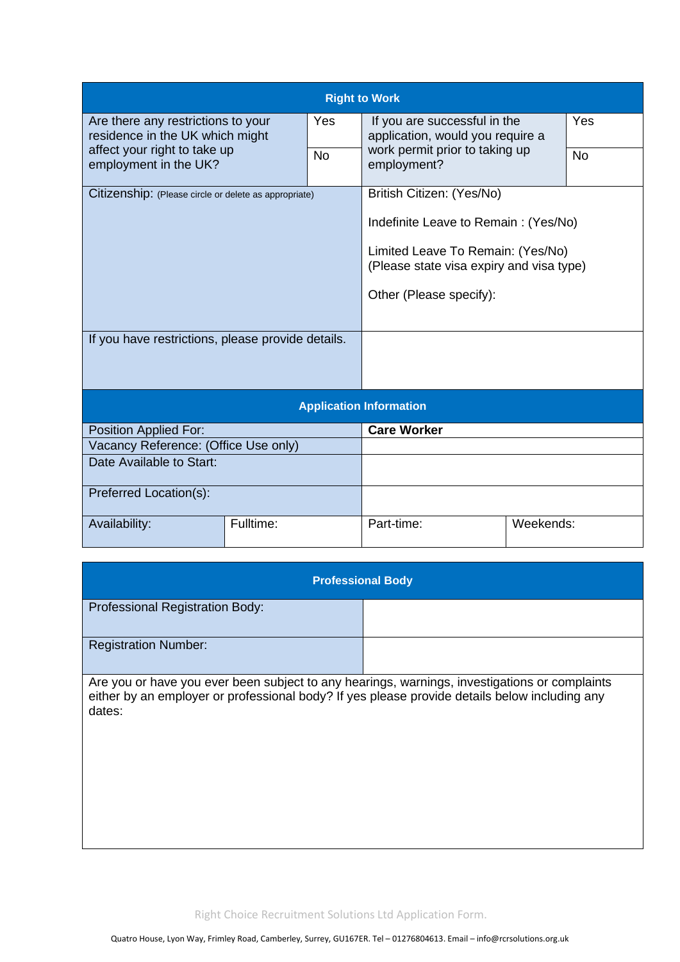| <b>Right to Work</b>                                                  |                                                   |                                                                                                                                                                               |                                                                  |           |           |
|-----------------------------------------------------------------------|---------------------------------------------------|-------------------------------------------------------------------------------------------------------------------------------------------------------------------------------|------------------------------------------------------------------|-----------|-----------|
| Are there any restrictions to your<br>residence in the UK which might |                                                   | Yes                                                                                                                                                                           | If you are successful in the<br>application, would you require a |           | Yes       |
| affect your right to take up<br>employment in the UK?                 |                                                   | <b>No</b>                                                                                                                                                                     | work permit prior to taking up<br>employment?                    |           | <b>No</b> |
| Citizenship: (Please circle or delete as appropriate)                 |                                                   | British Citizen: (Yes/No)<br>Indefinite Leave to Remain: (Yes/No)<br>Limited Leave To Remain: (Yes/No)<br>(Please state visa expiry and visa type)<br>Other (Please specify): |                                                                  |           |           |
|                                                                       | If you have restrictions, please provide details. |                                                                                                                                                                               |                                                                  |           |           |
|                                                                       |                                                   |                                                                                                                                                                               | <b>Application Information</b>                                   |           |           |
| Position Applied For:                                                 |                                                   |                                                                                                                                                                               | <b>Care Worker</b>                                               |           |           |
| Vacancy Reference: (Office Use only)                                  |                                                   |                                                                                                                                                                               |                                                                  |           |           |
| Date Available to Start:                                              |                                                   |                                                                                                                                                                               |                                                                  |           |           |
| Preferred Location(s):                                                |                                                   |                                                                                                                                                                               |                                                                  |           |           |
| Availability:                                                         | Fulltime:                                         |                                                                                                                                                                               | Part-time:                                                       | Weekends: |           |

| <b>Professional Body</b>                                                                                                                                                                                 |  |  |  |
|----------------------------------------------------------------------------------------------------------------------------------------------------------------------------------------------------------|--|--|--|
| Professional Registration Body:                                                                                                                                                                          |  |  |  |
| <b>Registration Number:</b>                                                                                                                                                                              |  |  |  |
| Are you or have you ever been subject to any hearings, warnings, investigations or complaints<br>either by an employer or professional body? If yes please provide details below including any<br>dates: |  |  |  |

Right Choice Recruitment Solutions Ltd Application Form.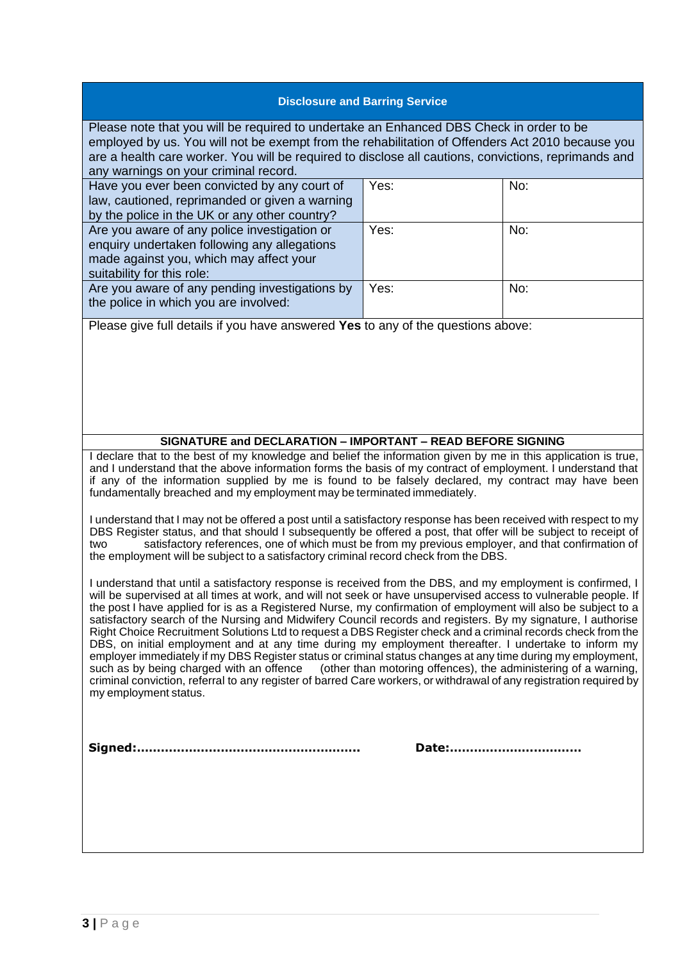### **Disclosure and Barring Service**

| Please note that you will be required to undertake an Enhanced DBS Check in order to be<br>employed by us. You will not be exempt from the rehabilitation of Offenders Act 2010 because you<br>are a health care worker. You will be required to disclose all cautions, convictions, reprimands and<br>any warnings on your criminal record. |      |     |  |  |
|----------------------------------------------------------------------------------------------------------------------------------------------------------------------------------------------------------------------------------------------------------------------------------------------------------------------------------------------|------|-----|--|--|
| Have you ever been convicted by any court of<br>law, cautioned, reprimanded or given a warning<br>by the police in the UK or any other country?                                                                                                                                                                                              | Yes: | No: |  |  |
| Are you aware of any police investigation or<br>enquiry undertaken following any allegations<br>made against you, which may affect your<br>suitability for this role:                                                                                                                                                                        | Yes: | No: |  |  |
| Are you aware of any pending investigations by<br>the police in which you are involved:                                                                                                                                                                                                                                                      | Yes: | No: |  |  |

Please give full details if you have answered **Yes** to any of the questions above:

## **SIGNATURE and DECLARATION – IMPORTANT – READ BEFORE SIGNING**

I declare that to the best of my knowledge and belief the information given by me in this application is true, and I understand that the above information forms the basis of my contract of employment. I understand that if any of the information supplied by me is found to be falsely declared, my contract may have been fundamentally breached and my employment may be terminated immediately.

I understand that I may not be offered a post until a satisfactory response has been received with respect to my DBS Register status, and that should I subsequently be offered a post, that offer will be subject to receipt of two satisfactory references, one of which must be from my previous employer, and that confirmation of the employment will be subject to a satisfactory criminal record check from the DBS.

I understand that until a satisfactory response is received from the DBS, and my employment is confirmed, I will be supervised at all times at work, and will not seek or have unsupervised access to vulnerable people. If the post I have applied for is as a Registered Nurse, my confirmation of employment will also be subject to a satisfactory search of the Nursing and Midwifery Council records and registers. By my signature, I authorise Right Choice Recruitment Solutions Ltd to request a DBS Register check and a criminal records check from the DBS, on initial employment and at any time during my employment thereafter. I undertake to inform my employer immediately if my DBS Register status or criminal status changes at any time during my employment, such as by being charged with an offence (other than motoring offences), the administering of a warning, criminal conviction, referral to any register of barred Care workers, or withdrawal of any registration required by my employment status.

**Signed:……………………………………………….. Date:……………………………**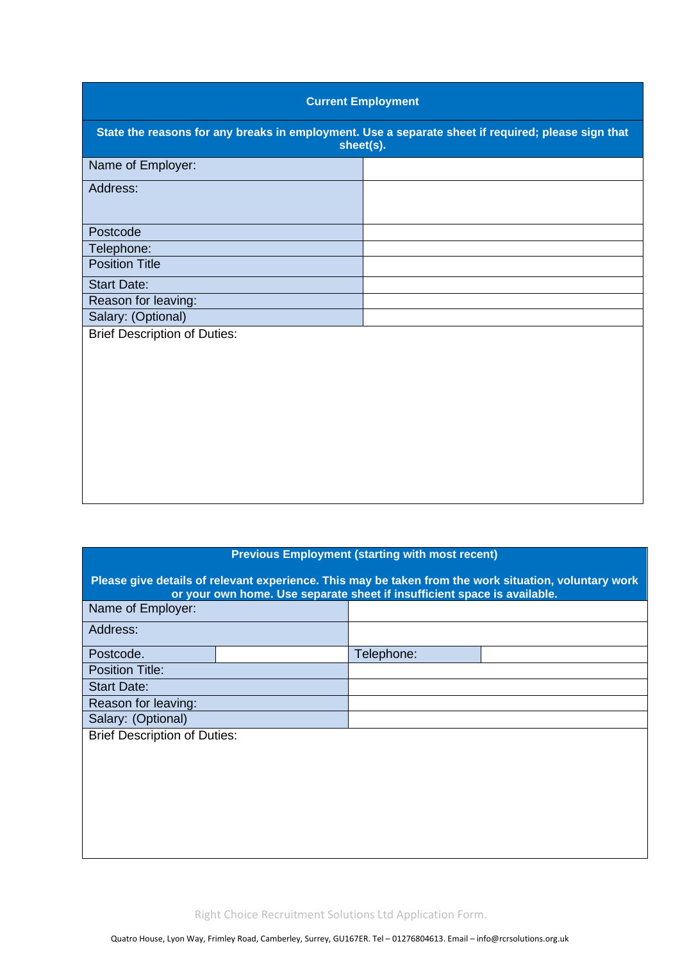| <b>Current Employment</b>                                                                                       |  |  |  |
|-----------------------------------------------------------------------------------------------------------------|--|--|--|
| State the reasons for any breaks in employment. Use a separate sheet if required; please sign that<br>sheet(s). |  |  |  |
| Name of Employer:                                                                                               |  |  |  |
| Address:                                                                                                        |  |  |  |
| Postcode                                                                                                        |  |  |  |
| Telephone:                                                                                                      |  |  |  |
| <b>Position Title</b>                                                                                           |  |  |  |
| <b>Start Date:</b>                                                                                              |  |  |  |
| Reason for leaving:                                                                                             |  |  |  |
| Salary: (Optional)                                                                                              |  |  |  |
| <b>Brief Description of Duties:</b>                                                                             |  |  |  |

| <b>Previous Employment (starting with most recent)</b>                                                                                                                            |            |  |  |  |
|-----------------------------------------------------------------------------------------------------------------------------------------------------------------------------------|------------|--|--|--|
| Please give details of relevant experience. This may be taken from the work situation, voluntary work<br>or your own home. Use separate sheet if insufficient space is available. |            |  |  |  |
| Name of Employer:                                                                                                                                                                 |            |  |  |  |
| Address:                                                                                                                                                                          |            |  |  |  |
| Postcode.                                                                                                                                                                         | Telephone: |  |  |  |
| <b>Position Title:</b>                                                                                                                                                            |            |  |  |  |
| <b>Start Date:</b>                                                                                                                                                                |            |  |  |  |
| Reason for leaving:                                                                                                                                                               |            |  |  |  |
| Salary: (Optional)                                                                                                                                                                |            |  |  |  |
| <b>Brief Description of Duties:</b>                                                                                                                                               |            |  |  |  |
|                                                                                                                                                                                   |            |  |  |  |
|                                                                                                                                                                                   |            |  |  |  |
|                                                                                                                                                                                   |            |  |  |  |
|                                                                                                                                                                                   |            |  |  |  |
|                                                                                                                                                                                   |            |  |  |  |
|                                                                                                                                                                                   |            |  |  |  |
|                                                                                                                                                                                   |            |  |  |  |

Right Choice Recruitment Solutions Ltd Application Form.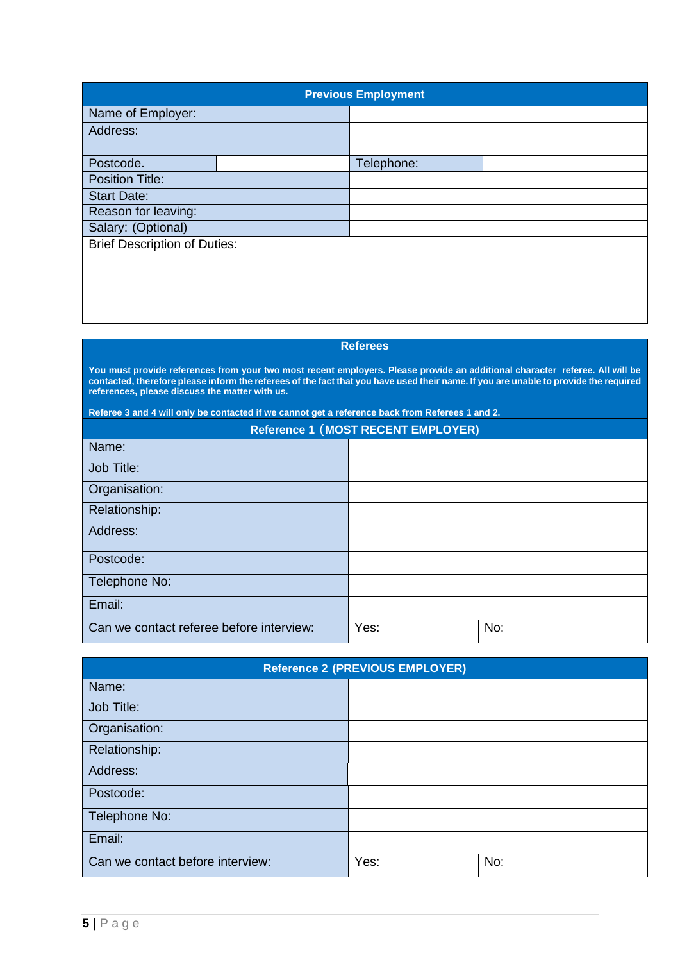| <b>Previous Employment</b>          |  |            |  |  |
|-------------------------------------|--|------------|--|--|
| Name of Employer:                   |  |            |  |  |
| Address:                            |  |            |  |  |
|                                     |  |            |  |  |
| Postcode.                           |  | Telephone: |  |  |
| <b>Position Title:</b>              |  |            |  |  |
| <b>Start Date:</b>                  |  |            |  |  |
| Reason for leaving:                 |  |            |  |  |
| Salary: (Optional)                  |  |            |  |  |
| <b>Brief Description of Duties:</b> |  |            |  |  |
|                                     |  |            |  |  |
|                                     |  |            |  |  |
|                                     |  |            |  |  |

### **Referees**

**You must provide references from your two most recent employers. Please provide an additional character referee. All will be contacted, therefore please inform the referees of the fact that you have used their name. If you are unable to provide the required references, please discuss the matter with us.**

**Referee 3 and 4 will only be contacted if we cannot get a reference back from Referees 1 and 2.**

# **Reference 1** (**MOST RECENT EMPLOYER)**

| Name:                                    |      |     |
|------------------------------------------|------|-----|
| Job Title:                               |      |     |
| Organisation:                            |      |     |
| Relationship:                            |      |     |
| Address:                                 |      |     |
| Postcode:                                |      |     |
| Telephone No:                            |      |     |
| Email:                                   |      |     |
| Can we contact referee before interview: | Yes: | No: |

| <b>Reference 2 (PREVIOUS EMPLOYER)</b> |      |     |  |
|----------------------------------------|------|-----|--|
| Name:                                  |      |     |  |
| Job Title:                             |      |     |  |
| Organisation:                          |      |     |  |
| Relationship:                          |      |     |  |
| Address:                               |      |     |  |
| Postcode:                              |      |     |  |
| Telephone No:                          |      |     |  |
| Email:                                 |      |     |  |
| Can we contact before interview:       | Yes: | No: |  |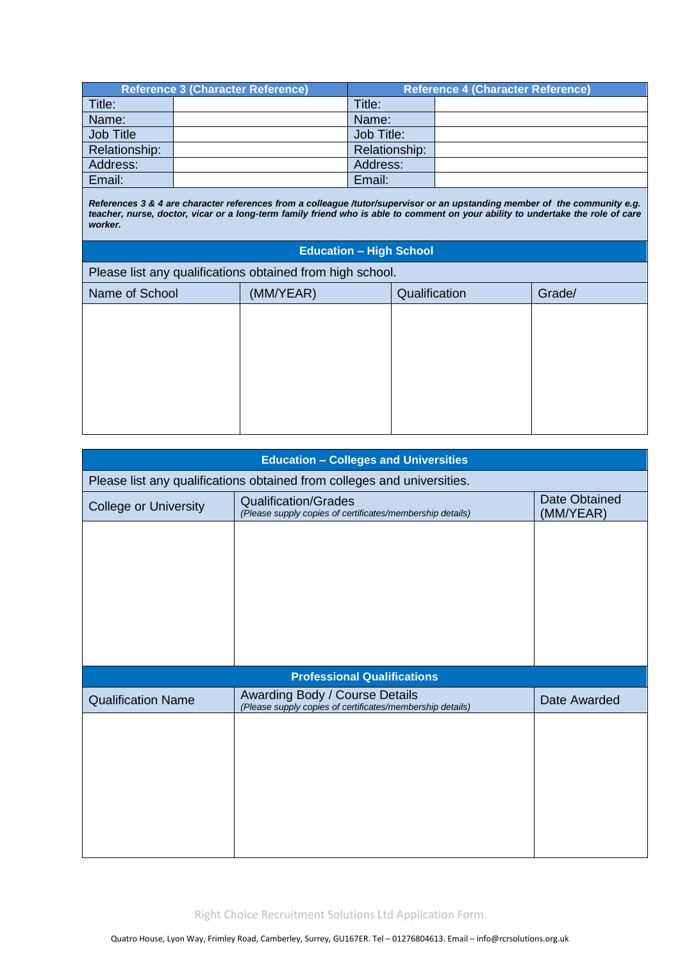|               | <b>Reference 3 (Character Reference)</b> | <b>Reference 4 (Character Reference)</b> |  |
|---------------|------------------------------------------|------------------------------------------|--|
| Title:        |                                          | Title:                                   |  |
| Name:         |                                          | Name:                                    |  |
| Job Title     |                                          | Job Title:                               |  |
| Relationship: |                                          | Relationship:                            |  |
| Address:      |                                          | Address:                                 |  |
| Email:        |                                          | Email:                                   |  |

*References 3 & 4 are character references from a colleague /tutor/supervisor or an upstanding member of the community e.g. teacher, nurse, doctor, vicar or a long-term family friend who is able to comment on your ability to undertake the role of care worker.*

## **Education – High School**

Please list any qualifications obtained from high school.

| Name of School | (MM/YEAR) | Qualification | Grade/ |
|----------------|-----------|---------------|--------|
|                |           |               |        |
|                |           |               |        |
|                |           |               |        |
|                |           |               |        |
|                |           |               |        |
|                |           |               |        |
|                |           |               |        |

| <b>Education - Colleges and Universities</b> |                                                                                             |                                   |  |
|----------------------------------------------|---------------------------------------------------------------------------------------------|-----------------------------------|--|
|                                              | Please list any qualifications obtained from colleges and universities.                     |                                   |  |
| <b>College or University</b>                 | <b>Qualification/Grades</b><br>(Please supply copies of certificates/membership details)    | <b>Date Obtained</b><br>(MM/YEAR) |  |
|                                              |                                                                                             |                                   |  |
|                                              |                                                                                             |                                   |  |
|                                              |                                                                                             |                                   |  |
|                                              |                                                                                             |                                   |  |
|                                              |                                                                                             |                                   |  |
|                                              |                                                                                             |                                   |  |
|                                              | <b>Professional Qualifications</b>                                                          |                                   |  |
| <b>Qualification Name</b>                    | Awarding Body / Course Details<br>(Please supply copies of certificates/membership details) | Date Awarded                      |  |
|                                              |                                                                                             |                                   |  |
|                                              |                                                                                             |                                   |  |
|                                              |                                                                                             |                                   |  |
|                                              |                                                                                             |                                   |  |
|                                              |                                                                                             |                                   |  |
|                                              |                                                                                             |                                   |  |

Right Choice Recruitment Solutions Ltd Application Form.